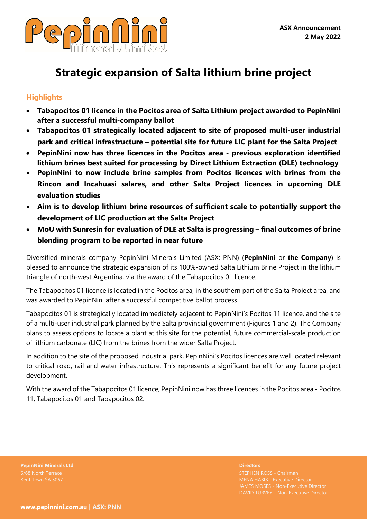

# **Strategic expansion of Salta lithium brine project**

## **Highlights**

- **Tabapocitos 01 licence in the Pocitos area of Salta Lithium project awarded to PepinNini after a successful multi-company ballot**
- **Tabapocitos 01 strategically located adjacent to site of proposed multi-user industrial park and critical infrastructure – potential site for future LIC plant for the Salta Project**
- **PepinNini now has three licences in the Pocitos area - previous exploration identified lithium brines best suited for processing by Direct Lithium Extraction (DLE) technology**
- **PepinNini to now include brine samples from Pocitos licences with brines from the Rincon and Incahuasi salares, and other Salta Project licences in upcoming DLE evaluation studies**
- **Aim is to develop lithium brine resources of sufficient scale to potentially support the development of LIC production at the Salta Project**
- **MoU with Sunresin for evaluation of DLE at Salta is progressing – final outcomes of brine blending program to be reported in near future**

Diversified minerals company PepinNini Minerals Limited (ASX: PNN) (**PepinNini** or **the Company**) is pleased to announce the strategic expansion of its 100%-owned Salta Lithium Brine Project in the lithium triangle of north-west Argentina, via the award of the Tabapocitos 01 licence.

The Tabapocitos 01 licence is located in the Pocitos area, in the southern part of the Salta Project area, and was awarded to PepinNini after a successful competitive ballot process.

Tabapocitos 01 is strategically located immediately adjacent to PepinNini's Pocitos 11 licence, and the site of a multi-user industrial park planned by the Salta provincial government (Figures 1 and 2). The Company plans to assess options to locate a plant at this site for the potential, future commercial-scale production of lithium carbonate (LIC) from the brines from the wider Salta Project.

In addition to the site of the proposed industrial park, PepinNini's Pocitos licences are well located relevant to critical road, rail and water infrastructure. This represents a significant benefit for any future project development.

With the award of the Tabapocitos 01 licence, PepinNini now has three licences in the Pocitos area - Pocitos 11, Tabapocitos 01 and Tabapocitos 02.

**PepinNini Minerals Ltd Directors**

STEPHEN ROSS - Chairman JAMES MOSES - Non-Executive Director DAVID TURVEY – Non-Executive Director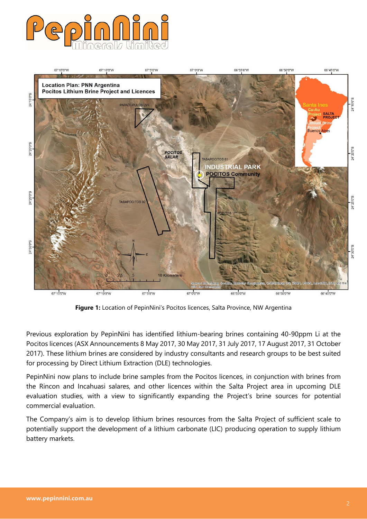



**Figure 1:** Location of PepinNini's Pocitos licences, Salta Province, NW Argentina

Previous exploration by PepinNini has identified lithium-bearing brines containing 40-90ppm Li at the Pocitos licences (ASX Announcements 8 May 2017, 30 May 2017, 31 July 2017, 17 August 2017, 31 October 2017). These lithium brines are considered by industry consultants and research groups to be best suited for processing by Direct Lithium Extraction (DLE) technologies.

PepinNini now plans to include brine samples from the Pocitos licences, in conjunction with brines from the Rincon and Incahuasi salares, and other licences within the Salta Project area in upcoming DLE evaluation studies, with a view to significantly expanding the Project's brine sources for potential commercial evaluation.

The Company's aim is to develop lithium brines resources from the Salta Project of sufficient scale to potentially support the development of a lithium carbonate (LIC) producing operation to supply lithium battery markets.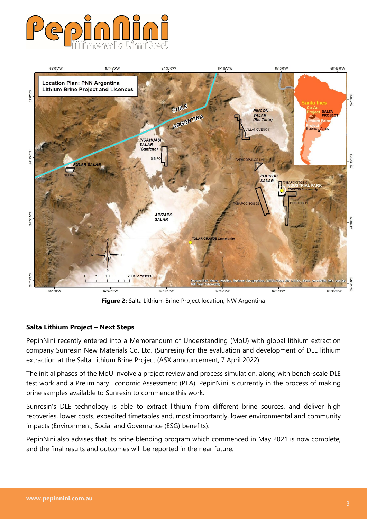



**Figure 2:** Salta Lithium Brine Project location, NW Argentina

#### **Salta Lithium Project – Next Steps**

PepinNini recently entered into a Memorandum of Understanding (MoU) with global lithium extraction company Sunresin New Materials Co. Ltd. (Sunresin) for the evaluation and development of DLE lithium extraction at the Salta Lithium Brine Project (ASX announcement, 7 April 2022).

The initial phases of the MoU involve a project review and process simulation, along with bench-scale DLE test work and a Preliminary Economic Assessment (PEA). PepinNini is currently in the process of making brine samples available to Sunresin to commence this work.

Sunresin's DLE technology is able to extract lithium from different brine sources, and deliver high recoveries, lower costs, expedited timetables and, most importantly, lower environmental and community impacts (Environment, Social and Governance (ESG) benefits).

PepinNini also advises that its brine blending program which commenced in May 2021 is now complete, and the final results and outcomes will be reported in the near future.